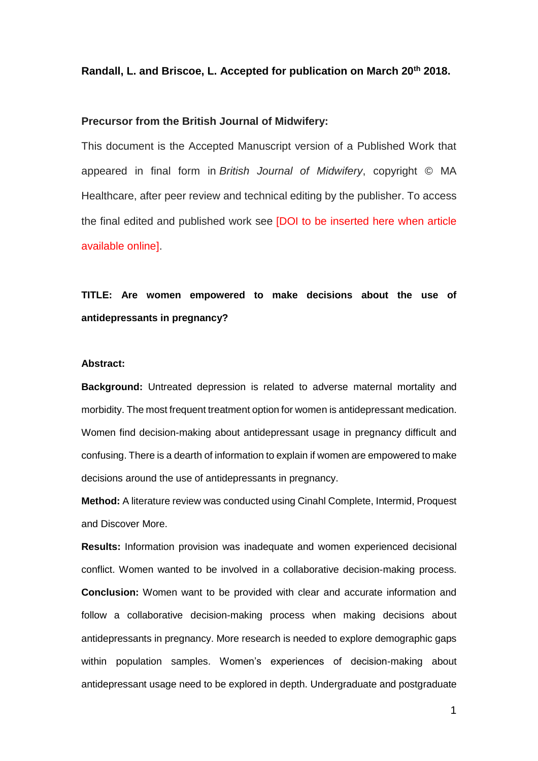## **Randall, L. and Briscoe, L. Accepted for publication on March 20th 2018.**

## **Precursor from the British Journal of Midwifery:**

This document is the Accepted Manuscript version of a Published Work that appeared in final form in *British Journal of Midwifery*, copyright © MA Healthcare, after peer review and technical editing by the publisher. To access the final edited and published work see [DOI to be inserted here when article available online].

# **TITLE: Are women empowered to make decisions about the use of antidepressants in pregnancy?**

## **Abstract:**

**Background:** Untreated depression is related to adverse maternal mortality and morbidity. The most frequent treatment option for women is antidepressant medication. Women find decision-making about antidepressant usage in pregnancy difficult and confusing. There is a dearth of information to explain if women are empowered to make decisions around the use of antidepressants in pregnancy.

**Method:** A literature review was conducted using Cinahl Complete, Intermid, Proquest and Discover More.

**Results:** Information provision was inadequate and women experienced decisional conflict. Women wanted to be involved in a collaborative decision-making process. **Conclusion:** Women want to be provided with clear and accurate information and follow a collaborative decision-making process when making decisions about antidepressants in pregnancy. More research is needed to explore demographic gaps within population samples. Women's experiences of decision-making about antidepressant usage need to be explored in depth. Undergraduate and postgraduate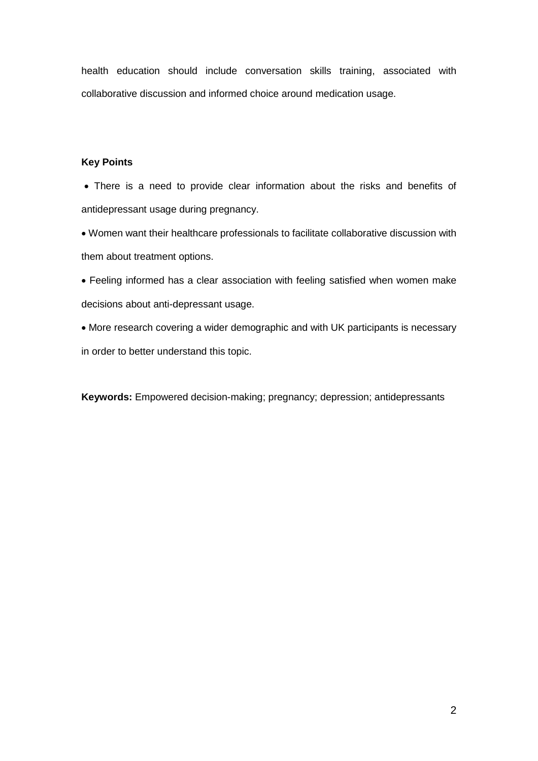health education should include conversation skills training, associated with collaborative discussion and informed choice around medication usage.

# **Key Points**

 There is a need to provide clear information about the risks and benefits of antidepressant usage during pregnancy.

 Women want their healthcare professionals to facilitate collaborative discussion with them about treatment options.

 Feeling informed has a clear association with feeling satisfied when women make decisions about anti-depressant usage.

 More research covering a wider demographic and with UK participants is necessary in order to better understand this topic.

**Keywords:** Empowered decision-making; pregnancy; depression; antidepressants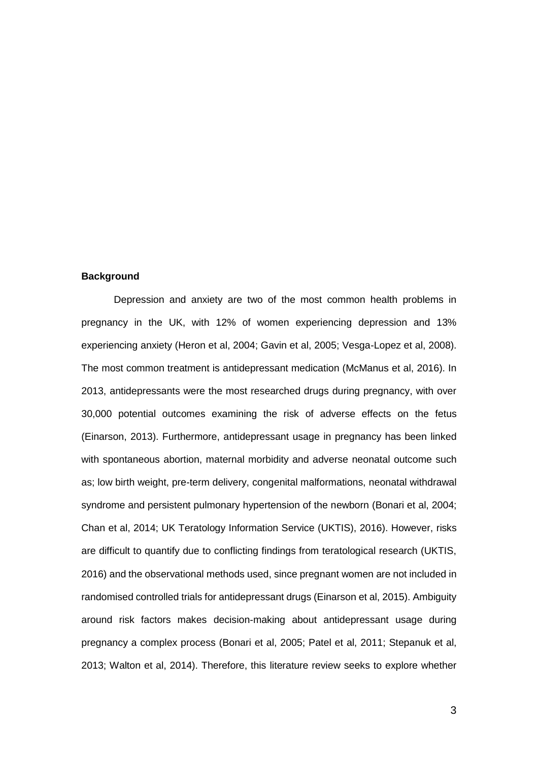#### **Background**

Depression and anxiety are two of the most common health problems in pregnancy in the UK, with 12% of women experiencing depression and 13% experiencing anxiety (Heron et al, 2004; Gavin et al, 2005; Vesga-Lopez et al, 2008). The most common treatment is antidepressant medication (McManus et al, 2016). In 2013, antidepressants were the most researched drugs during pregnancy, with over 30,000 potential outcomes examining the risk of adverse effects on the fetus (Einarson, 2013). Furthermore, antidepressant usage in pregnancy has been linked with spontaneous abortion, maternal morbidity and adverse neonatal outcome such as; low birth weight, pre-term delivery, congenital malformations, neonatal withdrawal syndrome and persistent pulmonary hypertension of the newborn (Bonari et al, 2004; Chan et al, 2014; UK Teratology Information Service (UKTIS), 2016). However, risks are difficult to quantify due to conflicting findings from teratological research (UKTIS, 2016) and the observational methods used, since pregnant women are not included in randomised controlled trials for antidepressant drugs (Einarson et al, 2015). Ambiguity around risk factors makes decision-making about antidepressant usage during pregnancy a complex process (Bonari et al, 2005; Patel et al, 2011; Stepanuk et al, 2013; Walton et al, 2014). Therefore, this literature review seeks to explore whether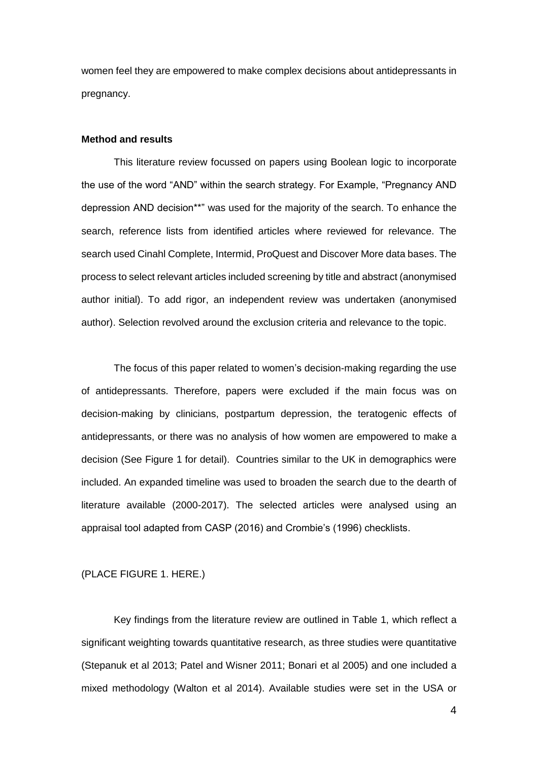women feel they are empowered to make complex decisions about antidepressants in pregnancy.

#### **Method and results**

This literature review focussed on papers using Boolean logic to incorporate the use of the word "AND" within the search strategy. For Example, "Pregnancy AND depression AND decision\*\*" was used for the majority of the search. To enhance the search, reference lists from identified articles where reviewed for relevance. The search used Cinahl Complete, Intermid, ProQuest and Discover More data bases. The process to select relevant articles included screening by title and abstract (anonymised author initial). To add rigor, an independent review was undertaken (anonymised author). Selection revolved around the exclusion criteria and relevance to the topic.

The focus of this paper related to women's decision-making regarding the use of antidepressants. Therefore, papers were excluded if the main focus was on decision-making by clinicians, postpartum depression, the teratogenic effects of antidepressants, or there was no analysis of how women are empowered to make a decision (See Figure 1 for detail). Countries similar to the UK in demographics were included. An expanded timeline was used to broaden the search due to the dearth of literature available (2000-2017). The selected articles were analysed using an appraisal tool adapted from CASP (2016) and Crombie's (1996) checklists.

# (PLACE FIGURE 1. HERE.)

Key findings from the literature review are outlined in Table 1, which reflect a significant weighting towards quantitative research, as three studies were quantitative (Stepanuk et al 2013; Patel and Wisner 2011; Bonari et al 2005) and one included a mixed methodology (Walton et al 2014). Available studies were set in the USA or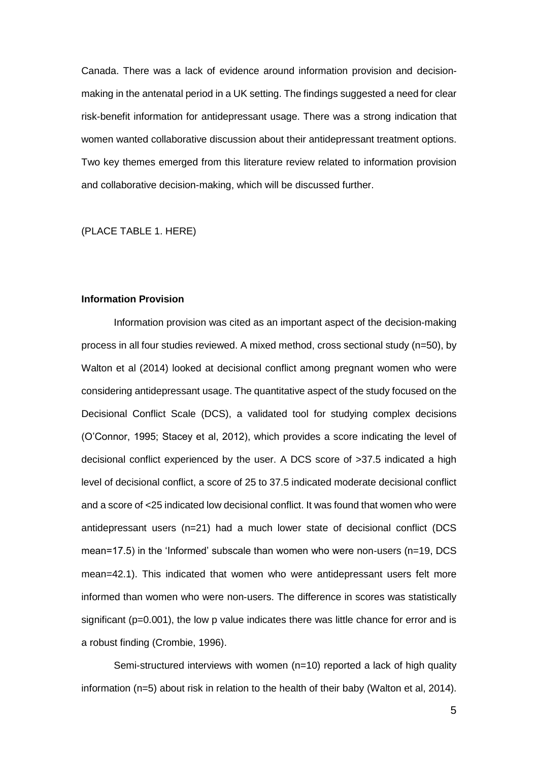Canada. There was a lack of evidence around information provision and decisionmaking in the antenatal period in a UK setting. The findings suggested a need for clear risk-benefit information for antidepressant usage. There was a strong indication that women wanted collaborative discussion about their antidepressant treatment options. Two key themes emerged from this literature review related to information provision and collaborative decision-making, which will be discussed further.

(PLACE TABLE 1. HERE)

#### **Information Provision**

Information provision was cited as an important aspect of the decision-making process in all four studies reviewed. A mixed method, cross sectional study (n=50), by Walton et al (2014) looked at decisional conflict among pregnant women who were considering antidepressant usage. The quantitative aspect of the study focused on the Decisional Conflict Scale (DCS), a validated tool for studying complex decisions (O'Connor, 1995; Stacey et al, 2012), which provides a score indicating the level of decisional conflict experienced by the user. A DCS score of >37.5 indicated a high level of decisional conflict, a score of 25 to 37.5 indicated moderate decisional conflict and a score of <25 indicated low decisional conflict. It was found that women who were antidepressant users (n=21) had a much lower state of decisional conflict (DCS mean=17.5) in the 'Informed' subscale than women who were non-users (n=19, DCS mean=42.1). This indicated that women who were antidepressant users felt more informed than women who were non-users. The difference in scores was statistically significant ( $p=0.001$ ), the low p value indicates there was little chance for error and is a robust finding (Crombie, 1996).

Semi-structured interviews with women (n=10) reported a lack of high quality information (n=5) about risk in relation to the health of their baby (Walton et al, 2014).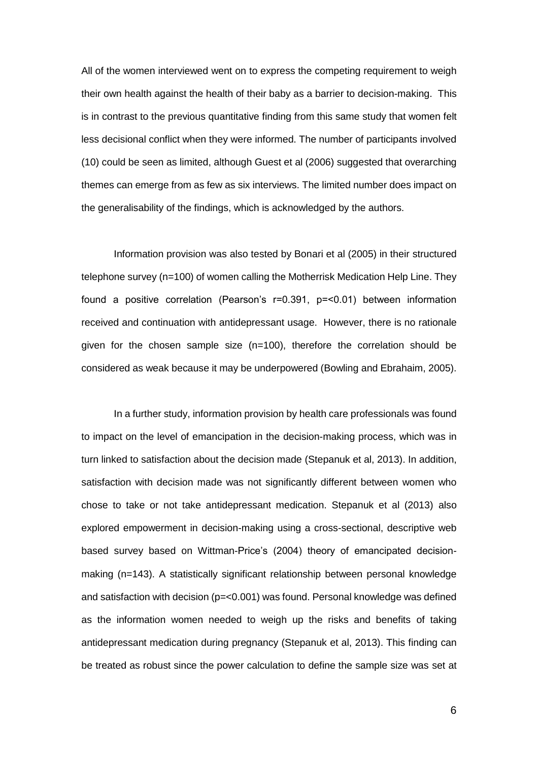All of the women interviewed went on to express the competing requirement to weigh their own health against the health of their baby as a barrier to decision-making. This is in contrast to the previous quantitative finding from this same study that women felt less decisional conflict when they were informed. The number of participants involved (10) could be seen as limited, although Guest et al (2006) suggested that overarching themes can emerge from as few as six interviews. The limited number does impact on the generalisability of the findings, which is acknowledged by the authors.

Information provision was also tested by Bonari et al (2005) in their structured telephone survey (n=100) of women calling the Motherrisk Medication Help Line. They found a positive correlation (Pearson's r=0.391, p=<0.01) between information received and continuation with antidepressant usage. However, there is no rationale given for the chosen sample size  $(n=100)$ , therefore the correlation should be considered as weak because it may be underpowered (Bowling and Ebrahaim, 2005).

In a further study, information provision by health care professionals was found to impact on the level of emancipation in the decision-making process, which was in turn linked to satisfaction about the decision made (Stepanuk et al, 2013). In addition, satisfaction with decision made was not significantly different between women who chose to take or not take antidepressant medication. Stepanuk et al (2013) also explored empowerment in decision-making using a cross-sectional, descriptive web based survey based on Wittman-Price's (2004) theory of emancipated decisionmaking (n=143). A statistically significant relationship between personal knowledge and satisfaction with decision (p=<0.001) was found. Personal knowledge was defined as the information women needed to weigh up the risks and benefits of taking antidepressant medication during pregnancy (Stepanuk et al, 2013). This finding can be treated as robust since the power calculation to define the sample size was set at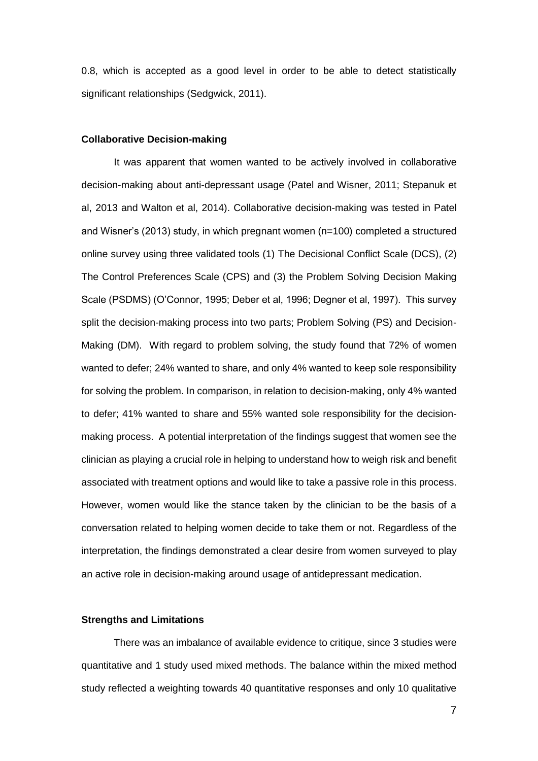0.8, which is accepted as a good level in order to be able to detect statistically significant relationships (Sedgwick, 2011).

#### **Collaborative Decision-making**

It was apparent that women wanted to be actively involved in collaborative decision-making about anti-depressant usage (Patel and Wisner, 2011; Stepanuk et al, 2013 and Walton et al, 2014). Collaborative decision-making was tested in Patel and Wisner's (2013) study, in which pregnant women (n=100) completed a structured online survey using three validated tools (1) The Decisional Conflict Scale (DCS), (2) The Control Preferences Scale (CPS) and (3) the Problem Solving Decision Making Scale (PSDMS) (O'Connor, 1995; Deber et al, 1996; Degner et al, 1997). This survey split the decision-making process into two parts; Problem Solving (PS) and Decision-Making (DM). With regard to problem solving, the study found that 72% of women wanted to defer; 24% wanted to share, and only 4% wanted to keep sole responsibility for solving the problem. In comparison, in relation to decision-making, only 4% wanted to defer; 41% wanted to share and 55% wanted sole responsibility for the decisionmaking process. A potential interpretation of the findings suggest that women see the clinician as playing a crucial role in helping to understand how to weigh risk and benefit associated with treatment options and would like to take a passive role in this process. However, women would like the stance taken by the clinician to be the basis of a conversation related to helping women decide to take them or not. Regardless of the interpretation, the findings demonstrated a clear desire from women surveyed to play an active role in decision-making around usage of antidepressant medication.

# **Strengths and Limitations**

There was an imbalance of available evidence to critique, since 3 studies were quantitative and 1 study used mixed methods. The balance within the mixed method study reflected a weighting towards 40 quantitative responses and only 10 qualitative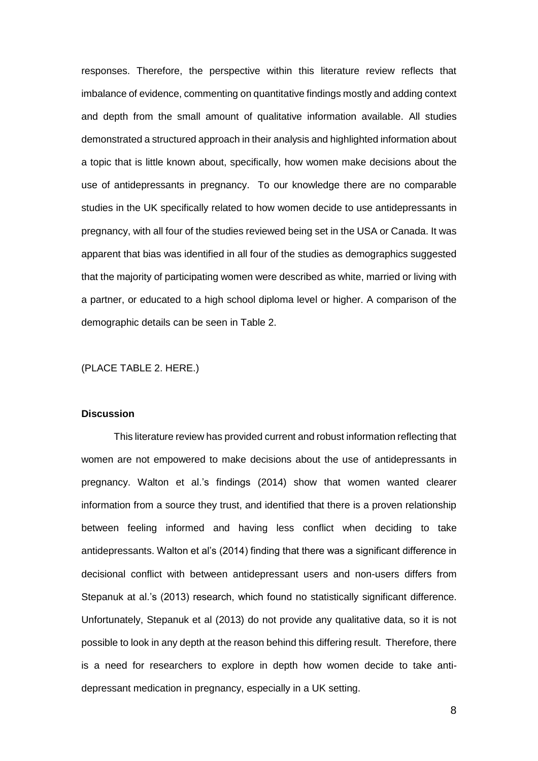responses. Therefore, the perspective within this literature review reflects that imbalance of evidence, commenting on quantitative findings mostly and adding context and depth from the small amount of qualitative information available. All studies demonstrated a structured approach in their analysis and highlighted information about a topic that is little known about, specifically, how women make decisions about the use of antidepressants in pregnancy. To our knowledge there are no comparable studies in the UK specifically related to how women decide to use antidepressants in pregnancy, with all four of the studies reviewed being set in the USA or Canada. It was apparent that bias was identified in all four of the studies as demographics suggested that the majority of participating women were described as white, married or living with a partner, or educated to a high school diploma level or higher. A comparison of the demographic details can be seen in Table 2.

## (PLACE TABLE 2. HERE.)

## **Discussion**

This literature review has provided current and robust information reflecting that women are not empowered to make decisions about the use of antidepressants in pregnancy. Walton et al.'s findings (2014) show that women wanted clearer information from a source they trust, and identified that there is a proven relationship between feeling informed and having less conflict when deciding to take antidepressants. Walton et al's (2014) finding that there was a significant difference in decisional conflict with between antidepressant users and non-users differs from Stepanuk at al.'s (2013) research, which found no statistically significant difference. Unfortunately, Stepanuk et al (2013) do not provide any qualitative data, so it is not possible to look in any depth at the reason behind this differing result. Therefore, there is a need for researchers to explore in depth how women decide to take antidepressant medication in pregnancy, especially in a UK setting.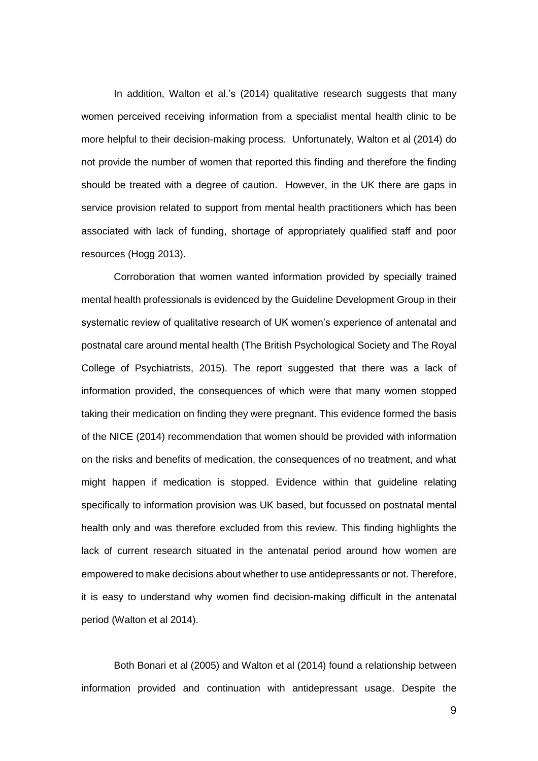In addition, Walton et al.'s (2014) qualitative research suggests that many women perceived receiving information from a specialist mental health clinic to be more helpful to their decision-making process. Unfortunately, Walton et al (2014) do not provide the number of women that reported this finding and therefore the finding should be treated with a degree of caution. However, in the UK there are gaps in service provision related to support from mental health practitioners which has been associated with lack of funding, shortage of appropriately qualified staff and poor resources (Hogg 2013).

Corroboration that women wanted information provided by specially trained mental health professionals is evidenced by the Guideline Development Group in their systematic review of qualitative research of UK women's experience of antenatal and postnatal care around mental health (The British Psychological Society and The Royal College of Psychiatrists, 2015). The report suggested that there was a lack of information provided, the consequences of which were that many women stopped taking their medication on finding they were pregnant. This evidence formed the basis of the NICE (2014) recommendation that women should be provided with information on the risks and benefits of medication, the consequences of no treatment, and what might happen if medication is stopped. Evidence within that guideline relating specifically to information provision was UK based, but focussed on postnatal mental health only and was therefore excluded from this review. This finding highlights the lack of current research situated in the antenatal period around how women are empowered to make decisions about whether to use antidepressants or not. Therefore, it is easy to understand why women find decision-making difficult in the antenatal period (Walton et al 2014).

Both Bonari et al (2005) and Walton et al (2014) found a relationship between information provided and continuation with antidepressant usage. Despite the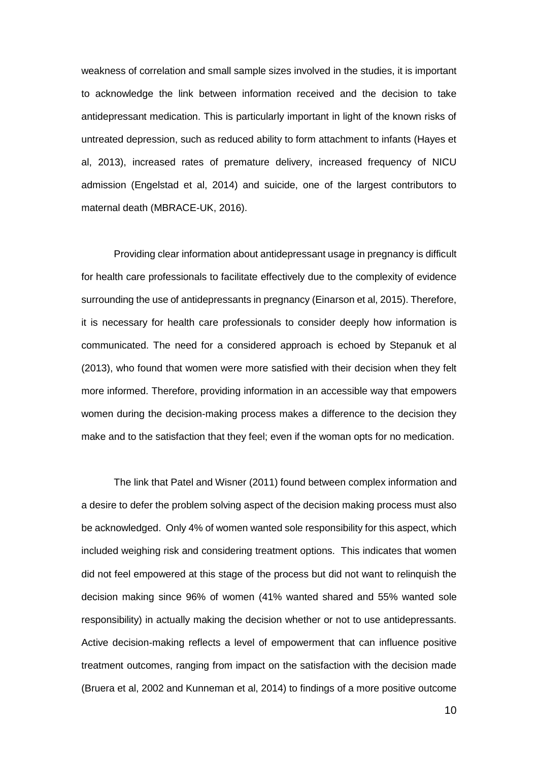weakness of correlation and small sample sizes involved in the studies, it is important to acknowledge the link between information received and the decision to take antidepressant medication. This is particularly important in light of the known risks of untreated depression, such as reduced ability to form attachment to infants (Hayes et al, 2013), increased rates of premature delivery, increased frequency of NICU admission (Engelstad et al, 2014) and suicide, one of the largest contributors to maternal death (MBRACE-UK, 2016).

Providing clear information about antidepressant usage in pregnancy is difficult for health care professionals to facilitate effectively due to the complexity of evidence surrounding the use of antidepressants in pregnancy (Einarson et al, 2015). Therefore, it is necessary for health care professionals to consider deeply how information is communicated. The need for a considered approach is echoed by Stepanuk et al (2013), who found that women were more satisfied with their decision when they felt more informed. Therefore, providing information in an accessible way that empowers women during the decision-making process makes a difference to the decision they make and to the satisfaction that they feel; even if the woman opts for no medication.

The link that Patel and Wisner (2011) found between complex information and a desire to defer the problem solving aspect of the decision making process must also be acknowledged. Only 4% of women wanted sole responsibility for this aspect, which included weighing risk and considering treatment options. This indicates that women did not feel empowered at this stage of the process but did not want to relinquish the decision making since 96% of women (41% wanted shared and 55% wanted sole responsibility) in actually making the decision whether or not to use antidepressants. Active decision-making reflects a level of empowerment that can influence positive treatment outcomes, ranging from impact on the satisfaction with the decision made (Bruera et al, 2002 and Kunneman et al, 2014) to findings of a more positive outcome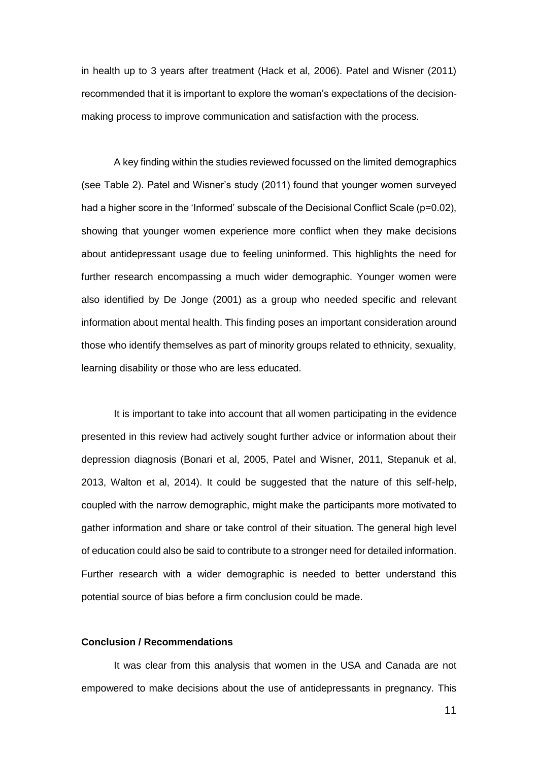in health up to 3 years after treatment (Hack et al, 2006). Patel and Wisner (2011) recommended that it is important to explore the woman's expectations of the decisionmaking process to improve communication and satisfaction with the process.

A key finding within the studies reviewed focussed on the limited demographics (see Table 2). Patel and Wisner's study (2011) found that younger women surveyed had a higher score in the 'Informed' subscale of the Decisional Conflict Scale (p=0.02), showing that younger women experience more conflict when they make decisions about antidepressant usage due to feeling uninformed. This highlights the need for further research encompassing a much wider demographic. Younger women were also identified by De Jonge (2001) as a group who needed specific and relevant information about mental health. This finding poses an important consideration around those who identify themselves as part of minority groups related to ethnicity, sexuality, learning disability or those who are less educated.

It is important to take into account that all women participating in the evidence presented in this review had actively sought further advice or information about their depression diagnosis (Bonari et al, 2005, Patel and Wisner, 2011, Stepanuk et al, 2013, Walton et al, 2014). It could be suggested that the nature of this self-help, coupled with the narrow demographic, might make the participants more motivated to gather information and share or take control of their situation. The general high level of education could also be said to contribute to a stronger need for detailed information. Further research with a wider demographic is needed to better understand this potential source of bias before a firm conclusion could be made.

#### **Conclusion / Recommendations**

It was clear from this analysis that women in the USA and Canada are not empowered to make decisions about the use of antidepressants in pregnancy. This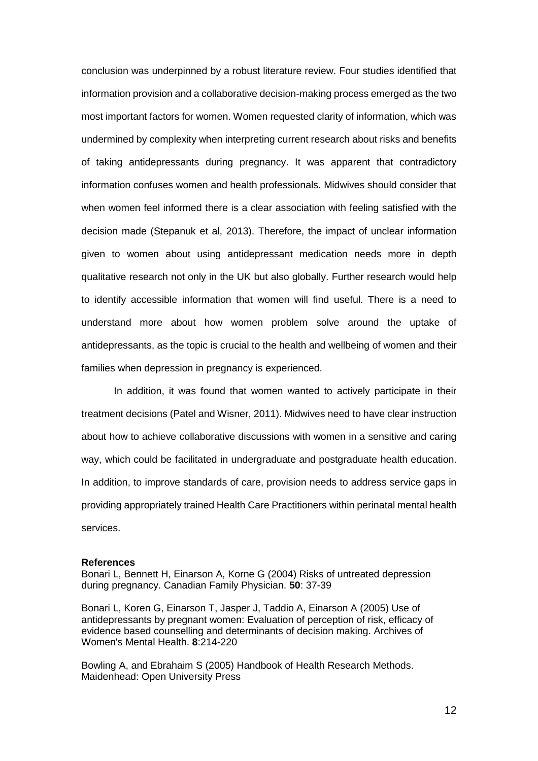conclusion was underpinned by a robust literature review. Four studies identified that information provision and a collaborative decision-making process emerged as the two most important factors for women. Women requested clarity of information, which was undermined by complexity when interpreting current research about risks and benefits of taking antidepressants during pregnancy. It was apparent that contradictory information confuses women and health professionals. Midwives should consider that when women feel informed there is a clear association with feeling satisfied with the decision made (Stepanuk et al, 2013). Therefore, the impact of unclear information given to women about using antidepressant medication needs more in depth qualitative research not only in the UK but also globally. Further research would help to identify accessible information that women will find useful. There is a need to understand more about how women problem solve around the uptake of antidepressants, as the topic is crucial to the health and wellbeing of women and their families when depression in pregnancy is experienced.

In addition, it was found that women wanted to actively participate in their treatment decisions (Patel and Wisner, 2011). Midwives need to have clear instruction about how to achieve collaborative discussions with women in a sensitive and caring way, which could be facilitated in undergraduate and postgraduate health education. In addition, to improve standards of care, provision needs to address service gaps in providing appropriately trained Health Care Practitioners within perinatal mental health services.

#### **References**

Bonari L, Bennett H, Einarson A, Korne G (2004) Risks of untreated depression during pregnancy. Canadian Family Physician. **50**: 37-39

Bonari L, Koren G, Einarson T, Jasper J, Taddio A, Einarson A (2005) Use of antidepressants by pregnant women: Evaluation of perception of risk, efficacy of evidence based counselling and determinants of decision making. Archives of Women's Mental Health. **8**:214-220

Bowling A, and Ebrahaim S (2005) Handbook of Health Research Methods. Maidenhead: Open University Press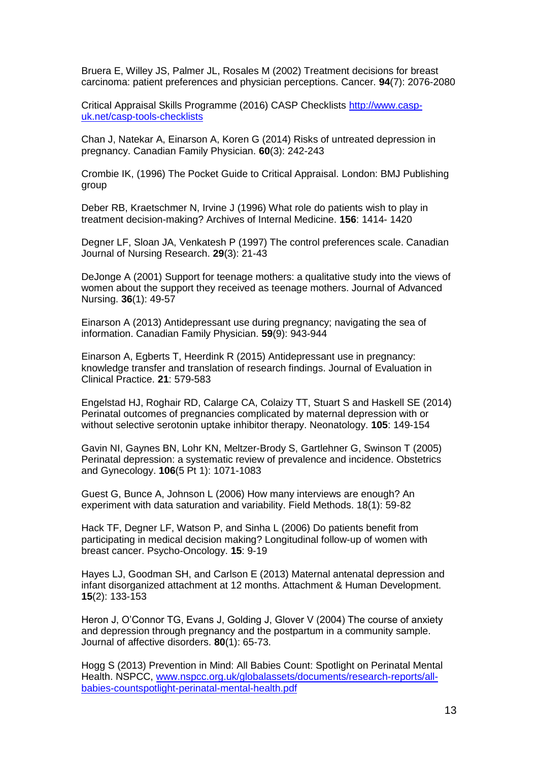Bruera E, Willey JS, Palmer JL, Rosales M (2002) Treatment decisions for breast carcinoma: patient preferences and physician perceptions. Cancer. **94**(7): 2076-2080

Critical Appraisal Skills Programme (2016) CASP Checklists [http://www.casp](http://www.casp-uk.net/casp-tools-checklists)[uk.net/casp-tools-checklists](http://www.casp-uk.net/casp-tools-checklists)

Chan J, Natekar A, Einarson A, Koren G (2014) Risks of untreated depression in pregnancy. Canadian Family Physician. **60**(3): 242-243

Crombie IK, (1996) The Pocket Guide to Critical Appraisal. London: BMJ Publishing group

Deber RB, Kraetschmer N, Irvine J (1996) What role do patients wish to play in treatment decision-making? Archives of Internal Medicine. **156**: 1414- 1420

Degner LF, Sloan JA, Venkatesh P (1997) The control preferences scale. Canadian Journal of Nursing Research. **29**(3): 21-43

DeJonge A (2001) Support for teenage mothers: a qualitative study into the views of women about the support they received as teenage mothers. Journal of Advanced Nursing. **36**(1): 49-57

Einarson A (2013) Antidepressant use during pregnancy; navigating the sea of information. Canadian Family Physician. **59**(9): 943-944

Einarson A, Egberts T, Heerdink R (2015) Antidepressant use in pregnancy: knowledge transfer and translation of research findings. Journal of Evaluation in Clinical Practice. **21**: 579-583

Engelstad HJ, Roghair RD, Calarge CA, Colaizy TT, Stuart S and Haskell SE (2014) Perinatal outcomes of pregnancies complicated by maternal depression with or without selective serotonin uptake inhibitor therapy. Neonatology. **105**: 149-154

Gavin NI, Gaynes BN, Lohr KN, Meltzer-Brody S, Gartlehner G, Swinson T (2005) Perinatal depression: a systematic review of prevalence and incidence. Obstetrics and Gynecology. **106**(5 Pt 1): 1071-1083

Guest G, Bunce A, Johnson L (2006) How many interviews are enough? An experiment with data saturation and variability. Field Methods. 18(1): 59-82

Hack TF, Degner LF, Watson P, and Sinha L (2006) Do patients benefit from participating in medical decision making? Longitudinal follow-up of women with breast cancer. Psycho-Oncology. **15**: 9-19

Hayes LJ, Goodman SH, and Carlson E (2013) Maternal antenatal depression and infant disorganized attachment at 12 months. Attachment & Human Development. **15**(2): 133-153

Heron J, O'Connor TG, Evans J, Golding J, Glover V (2004) The course of anxiety and depression through pregnancy and the postpartum in a community sample. Journal of affective disorders. **80**(1): 65-73.

Hogg S (2013) Prevention in Mind: All Babies Count: Spotlight on Perinatal Mental Health. NSPCC, [www.nspcc.org.uk/globalassets/documents/research-reports/all](http://www.nspcc.org.uk/globalassets/documents/research-reports/all-babies-countspotlight-perinatal-mental-health.pdf)[babies-countspotlight-perinatal-mental-health.pdf](http://www.nspcc.org.uk/globalassets/documents/research-reports/all-babies-countspotlight-perinatal-mental-health.pdf)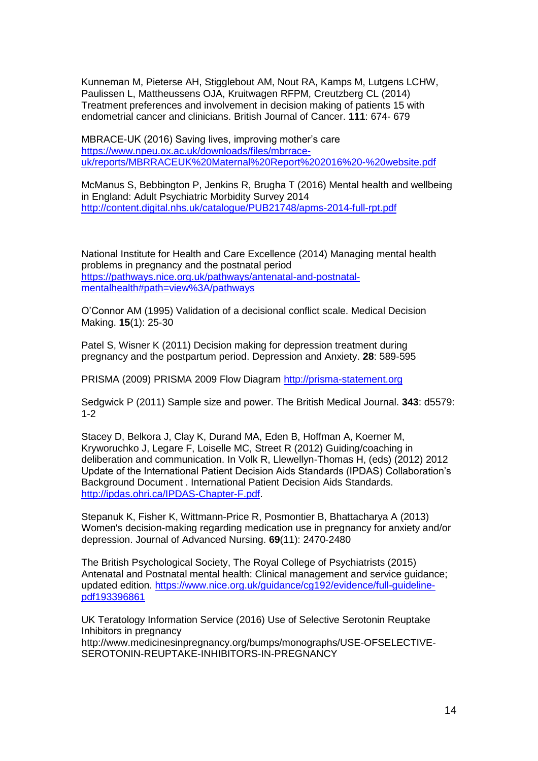Kunneman M, Pieterse AH, Stigglebout AM, Nout RA, Kamps M, Lutgens LCHW, Paulissen L, Mattheussens OJA, Kruitwagen RFPM, Creutzberg CL (2014) Treatment preferences and involvement in decision making of patients 15 with endometrial cancer and clinicians. British Journal of Cancer. **111**: 674- 679

MBRACE-UK (2016) Saving lives, improving mother's care [https://www.npeu.ox.ac.uk/downloads/files/mbrrace](https://www.npeu.ox.ac.uk/downloads/files/mbrrace-uk/reports/MBRRACEUK%20Maternal%20Report%202016%20-%20website.pdf)[uk/reports/MBRRACEUK%20Maternal%20Report%202016%20-%20website.pdf](https://www.npeu.ox.ac.uk/downloads/files/mbrrace-uk/reports/MBRRACEUK%20Maternal%20Report%202016%20-%20website.pdf)

McManus S, Bebbington P, Jenkins R, Brugha T (2016) Mental health and wellbeing in England: Adult Psychiatric Morbidity Survey 2014 <http://content.digital.nhs.uk/catalogue/PUB21748/apms-2014-full-rpt.pdf>

National Institute for Health and Care Excellence (2014) Managing mental health problems in pregnancy and the postnatal period [https://pathways.nice.org.uk/pathways/antenatal-and-postnatal](https://pathways.nice.org.uk/pathways/antenatal-and-postnatal-mentalhealth#path=view%3A/pathways)[mentalhealth#path=view%3A/pathways](https://pathways.nice.org.uk/pathways/antenatal-and-postnatal-mentalhealth#path=view%3A/pathways)

O'Connor AM (1995) Validation of a decisional conflict scale. Medical Decision Making. **15**(1): 25-30

Patel S, Wisner K (2011) Decision making for depression treatment during pregnancy and the postpartum period. Depression and Anxiety. **28**: 589-595

PRISMA (2009) PRISMA 2009 Flow Diagram [http://prisma-statement.org](http://prisma-statement.org/)

Sedgwick P (2011) Sample size and power. The British Medical Journal. **343**: d5579: 1-2

Stacey D, Belkora J, Clay K, Durand MA, Eden B, Hoffman A, Koerner M, Kryworuchko J, Legare F, Loiselle MC, Street R (2012) Guiding/coaching in deliberation and communication. In Volk R, Llewellyn-Thomas H, (eds) (2012) 2012 Update of the International Patient Decision Aids Standards (IPDAS) Collaboration's Background Document . International Patient Decision Aids Standards. [http://ipdas.ohri.ca/IPDAS-Chapter-F.pdf.](http://ipdas.ohri.ca/IPDAS-Chapter-F.pdf)

Stepanuk K, Fisher K, Wittmann-Price R, Posmontier B, Bhattacharya A (2013) Women's decision-making regarding medication use in pregnancy for anxiety and/or depression. Journal of Advanced Nursing. **69**(11): 2470-2480

The British Psychological Society, The Royal College of Psychiatrists (2015) Antenatal and Postnatal mental health: Clinical management and service guidance; updated edition. [https://www.nice.org.uk/guidance/cg192/evidence/full-guideline](https://www.nice.org.uk/guidance/cg192/evidence/full-guideline-pdf193396861)[pdf193396861](https://www.nice.org.uk/guidance/cg192/evidence/full-guideline-pdf193396861)

UK Teratology Information Service (2016) Use of Selective Serotonin Reuptake Inhibitors in pregnancy http://www.medicinesinpregnancy.org/bumps/monographs/USE-OFSELECTIVE-SEROTONIN-REUPTAKE-INHIBITORS-IN-PREGNANCY